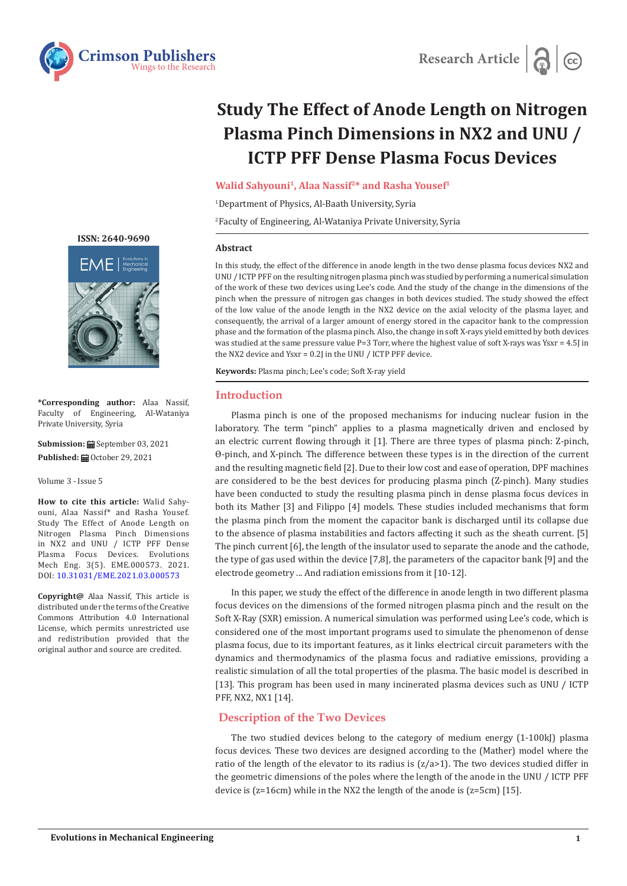

# **Study The Effect of Anode Length on Nitrogen Plasma Pinch Dimensions in NX2 and UNU / ICTP PFF Dense Plasma Focus Devices**

Walid Sahyouni<sup>1</sup>, Alaa Nassif<sup>2\*</sup> and Rasha Yousef<sup>1</sup>

1 Department of Physics, Al-Baath University, Syria

2 Faculty of Engineering, Al-Wataniya Private University, Syria

## **Abstract**

In this study, the effect of the difference in anode length in the two dense plasma focus devices NX2 and UNU / ICTP PFF on the resulting nitrogen plasma pinch was studied by performing a numerical simulation of the work of these two devices using Lee's code. And the study of the change in the dimensions of the pinch when the pressure of nitrogen gas changes in both devices studied. The study showed the effect of the low value of the anode length in the NX2 device on the axial velocity of the plasma layer, and consequently, the arrival of a larger amount of energy stored in the capacitor bank to the compression phase and the formation of the plasma pinch. Also, the change in soft X-rays yield emitted by both devices was studied at the same pressure value P=3 Torr, where the highest value of soft X-rays was Ysxr = 4.5J in the NX2 device and Ysxr = 0.2J in the UNU / ICTP PFF device.

**Keywords:** Plasma pinch; Lee's code; Soft X-ray yield

## **Introduction**

Plasma pinch is one of the proposed mechanisms for inducing nuclear fusion in the laboratory. The term "pinch" applies to a plasma magnetically driven and enclosed by an electric current flowing through it [1]. There are three types of plasma pinch: Z-pinch, Ɵ-pinch, and X-pinch. The difference between these types is in the direction of the current and the resulting magnetic field [2]. Due to their low cost and ease of operation, DPF machines are considered to be the best devices for producing plasma pinch (Z-pinch). Many studies have been conducted to study the resulting plasma pinch in dense plasma focus devices in both its Mather [3] and Filippo [4] models. These studies included mechanisms that form the plasma pinch from the moment the capacitor bank is discharged until its collapse due to the absence of plasma instabilities and factors affecting it such as the sheath current. [5] The pinch current [6], the length of the insulator used to separate the anode and the cathode, the type of gas used within the device [7,8], the parameters of the capacitor bank [9] and the electrode geometry ... And radiation emissions from it [10-12].

In this paper, we study the effect of the difference in anode length in two different plasma focus devices on the dimensions of the formed nitrogen plasma pinch and the result on the Soft X-Ray (SXR) emission. A numerical simulation was performed using Lee's code, which is considered one of the most important programs used to simulate the phenomenon of dense plasma focus, due to its important features, as it links electrical circuit parameters with the dynamics and thermodynamics of the plasma focus and radiative emissions, providing a realistic simulation of all the total properties of the plasma. The basic model is described in [13]. This program has been used in many incinerated plasma devices such as UNU / ICTP PFF, NX2, NX1 [14].

## **Description of the Two Devices**

The two studied devices belong to the category of medium energy (1-100kJ) plasma focus devices. These two devices are designed according to the (Mather) model where the ratio of the length of the elevator to its radius is  $(z/a>1)$ . The two devices studied differ in the geometric dimensions of the poles where the length of the anode in the UNU / ICTP PFF device is (z=16cm) while in the NX2 the length of the anode is (z=5cm) [15].

**[ISSN: 2640-9690](https://crimsonpublishers.com/eme/index.php)** FMFI

**\*Corresponding author:** Alaa Nassif, Faculty of Engineering, Al-Wataniya Private University, Syria

**Submission: ■ September 03, 2021 Published:** October 29, 2021

Volume 3 - Issue 5

**How to cite this article:** Walid Sahyouni, Alaa Nassif\* and Rasha Yousef. Study The Effect of Anode Length on Nitrogen Plasma Pinch Dimensions in NX2 and UNU / ICTP PFF Dense Plasma Focus Devices. Evolutions Mech Eng. 3(5). EME.000573. 2021. DOI: [10.31031/EME.2021.03.00057](http://dx.doi.org/10.31031/EME.2021.03.000573)3

**Copyright@** Alaa Nassif, This article is distributed under the terms of the Creative Commons Attribution 4.0 International License, which permits unrestricted use and redistribution provided that the original author and source are credited.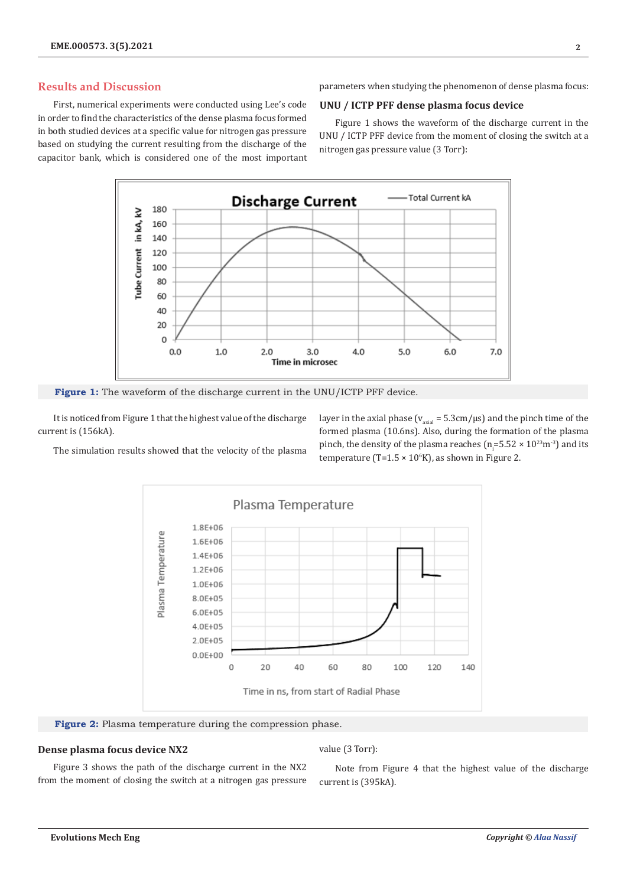# **Results and Discussion**

First, numerical experiments were conducted using Lee's code in order to find the characteristics of the dense plasma focus formed in both studied devices at a specific value for nitrogen gas pressure based on studying the current resulting from the discharge of the capacitor bank, which is considered one of the most important parameters when studying the phenomenon of dense plasma focus:

## **UNU / ICTP PFF dense plasma focus device**

Figure 1 shows the waveform of the discharge current in the UNU / ICTP PFF device from the moment of closing the switch at a nitrogen gas pressure value (3 Torr):



**Figure 1:** The waveform of the discharge current in the UNU/ICTP PFF device.

It is noticed from Figure 1 that the highest value of the discharge current is (156kA).

layer in the axial phase ( $v_{\text{axial}} = 5.3 \text{cm}/\mu\text{s}$ ) and the pinch time of the formed plasma (10.6ns). Also, during the formation of the plasma pinch, the density of the plasma reaches ( $n_{\rm i}$ =5.52 × 10<sup>23</sup>m<sup>-3</sup>) and its temperature (T= $1.5 \times 10^{6}$ K), as shown in Figure 2.

The simulation results showed that the velocity of the plasma



**Figure 2:** Plasma temperature during the compression phase.

## **Dense plasma focus device NX2**

value (3 Torr):

Figure 3 shows the path of the discharge current in the NX2 from the moment of closing the switch at a nitrogen gas pressure

Note from Figure 4 that the highest value of the discharge current is (395kA).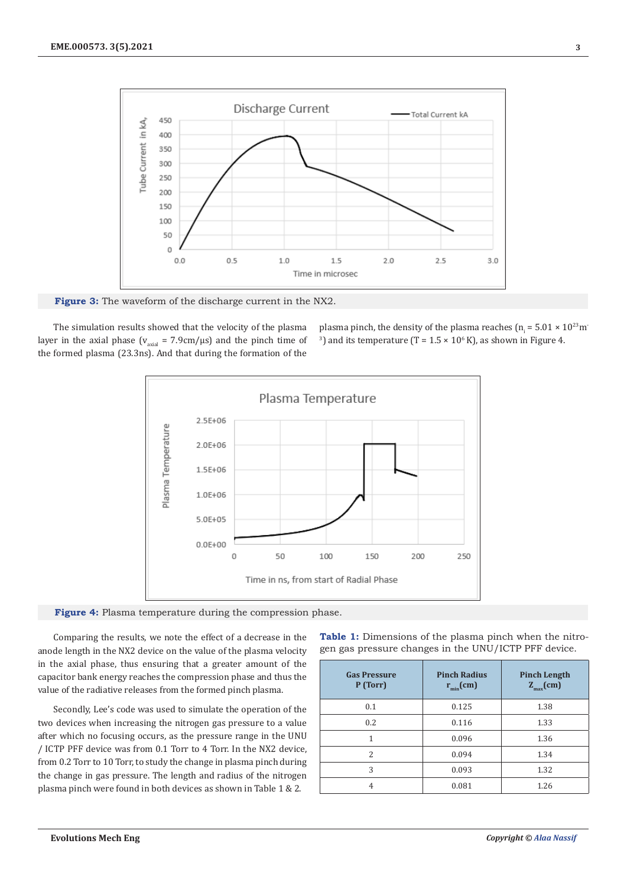

**Figure 3:** The waveform of the discharge current in the NX2.

The simulation results showed that the velocity of the plasma layer in the axial phase ( $v_{\text{axial}} = 7.9 \text{cm}/\mu\text{s}$ ) and the pinch time of the formed plasma (23.3ns). And that during the formation of the

plasma pinch, the density of the plasma reaches ( $n_i = 5.01 \times 10^{23}$ m<sup>-</sup> <sup>3</sup>) and its temperature (T =  $1.5 \times 10^6$  K), as shown in Figure 4.





Comparing the results, we note the effect of a decrease in the anode length in the NX2 device on the value of the plasma velocity in the axial phase, thus ensuring that a greater amount of the capacitor bank energy reaches the compression phase and thus the value of the radiative releases from the formed pinch plasma.

Secondly, Lee's code was used to simulate the operation of the two devices when increasing the nitrogen gas pressure to a value after which no focusing occurs, as the pressure range in the UNU / ICTP PFF device was from 0.1 Torr to 4 Torr. In the NX2 device, from 0.2 Torr to 10 Torr, to study the change in plasma pinch during the change in gas pressure. The length and radius of the nitrogen plasma pinch were found in both devices as shown in Table 1 & 2.

**Table 1:** Dimensions of the plasma pinch when the nitrogen gas pressure changes in the UNU/ICTP PFF device.

| <b>Gas Pressure</b><br>P (Torr) | <b>Pinch Radius</b><br>$r_{\min}$ (cm) | <b>Pinch Length</b><br>$Z_{max}(cm)$ |
|---------------------------------|----------------------------------------|--------------------------------------|
| 0.1                             | 0.125                                  | 1.38                                 |
| 0.2                             | 0.116                                  | 1.33                                 |
|                                 | 0.096                                  | 1.36                                 |
| 2                               | 0.094                                  | 1.34                                 |
| 3                               | 0.093                                  | 1.32                                 |
| 4                               | 0.081                                  | 1.26                                 |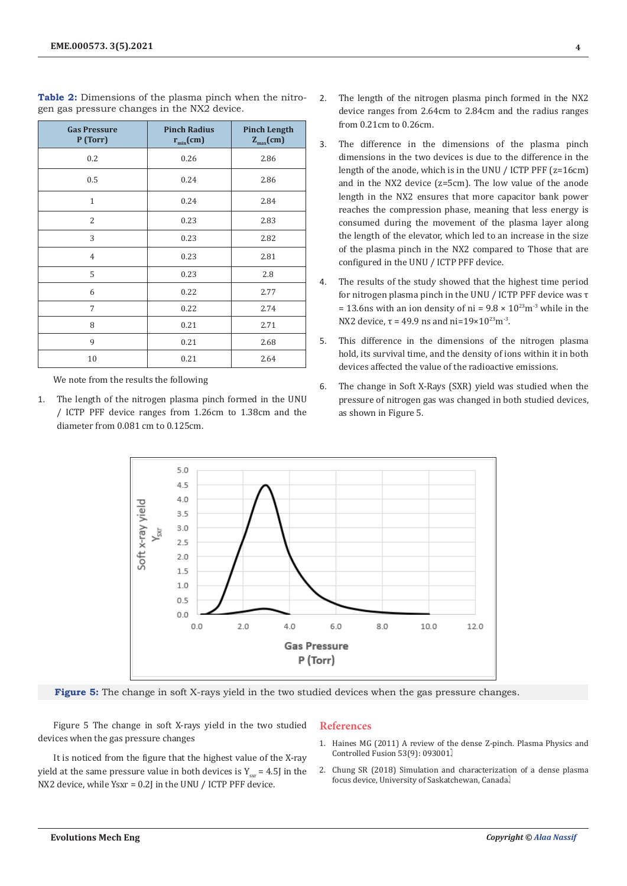| <b>Gas Pressure</b><br>P (Torr) | <b>Pinch Radius</b><br>$r_{min}(cm)$ | <b>Pinch Length</b><br>$Z_{max}(cm)$ |
|---------------------------------|--------------------------------------|--------------------------------------|
| 0.2                             | 0.26                                 | 2.86                                 |
| 0.5                             | 0.24                                 | 2.86                                 |
| $\mathbf{1}$                    | 0.24                                 | 2.84                                 |
| 2                               | 0.23                                 | 2.83                                 |
| 3                               | 0.23                                 | 2.82                                 |
| $\overline{4}$                  | 0.23                                 | 2.81                                 |
| 5                               | 0.23                                 | 2.8                                  |
| 6                               | 0.22                                 | 2.77                                 |
| $\overline{7}$                  | 0.22                                 | 2.74                                 |
| 8                               | 0.21                                 | 2.71                                 |
| 9                               | 0.21                                 | 2.68                                 |
| 10                              | 0.21                                 | 2.64                                 |

**Table 2:** Dimensions of the plasma pinch when the nitrogen gas pressure changes in the NX2 device.

We note from the results the following

1. The length of the nitrogen plasma pinch formed in the UNU / ICTP PFF device ranges from 1.26cm to 1.38cm and the diameter from 0.081 cm to 0.125cm.

- 2. The length of the nitrogen plasma pinch formed in the NX2 device ranges from 2.64cm to 2.84cm and the radius ranges from 0.21cm to 0.26cm.
- 3. The difference in the dimensions of the plasma pinch dimensions in the two devices is due to the difference in the length of the anode, which is in the UNU / ICTP PFF (z=16cm) and in the NX2 device (z=5cm). The low value of the anode length in the NX2 ensures that more capacitor bank power reaches the compression phase, meaning that less energy is consumed during the movement of the plasma layer along the length of the elevator, which led to an increase in the size of the plasma pinch in the NX2 compared to Those that are configured in the UNU / ICTP PFF device.
- 4. The results of the study showed that the highest time period for nitrogen plasma pinch in the UNU / ICTP PFF device was τ = 13.6ns with an ion density of ni =  $9.8 \times 10^{23}$ m<sup>-3</sup> while in the NX2 device,  $τ = 49.9$  ns and ni= $19×10<sup>23</sup>$ m<sup>-3</sup>.
- 5. This difference in the dimensions of the nitrogen plasma hold, its survival time, and the density of ions within it in both devices affected the value of the radioactive emissions.
- 6. The change in Soft X-Rays (SXR) yield was studied when the pressure of nitrogen gas was changed in both studied devices, as shown in Figure 5.



**Figure 5:** The change in soft X-rays yield in the two studied devices when the gas pressure changes.

Figure 5 The change in soft X-rays yield in the two studied devices when the gas pressure changes

## **References**

- 1. [Haines MG \(2011\) A review of the dense Z-pinch. Plasma Physics and](https://iopscience.iop.org/article/10.1088/0741-3335/53/9/093001) [Controlled Fusion 53\(9\): 093001.](https://iopscience.iop.org/article/10.1088/0741-3335/53/9/093001)
- It is noticed from the figure that the highest value of the X-ray yield at the same pressure value in both devices is  $Y_{\text{cav}} = 4.5$  in the NX2 device, while Ysxr = 0.2J in the UNU / ICTP PFF device.
- 2. Chung SR (2018) Simulation and characterization of a dense plasma focus device, University of Saskatchewan, Canada.